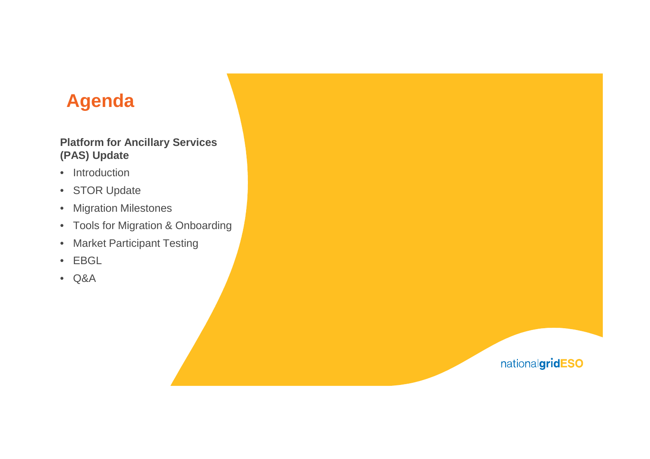# **Agenda**

### **Platform for Ancillary Services (PAS) Update**

- Introduction
- STOR Update
- Migration Milestones
- Tools for Migration & Onboarding
- Market Participant Testing
- EBGL
- Q&A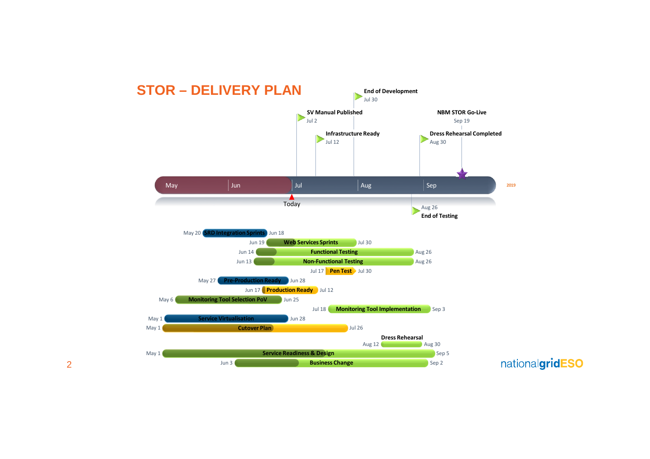

2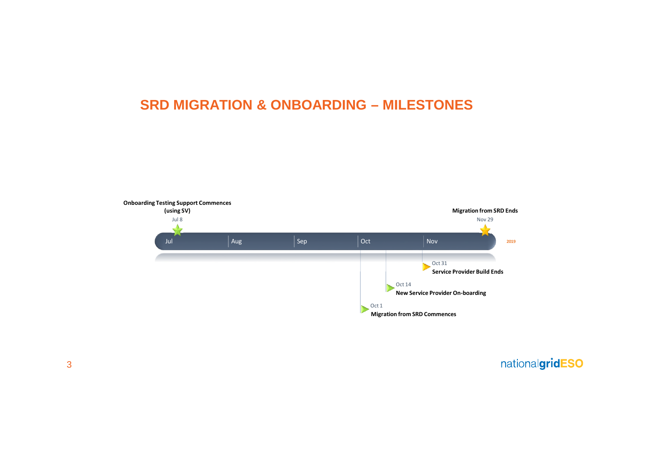### **SRD MIGRATION & ONBOARDING – MILESTONES**

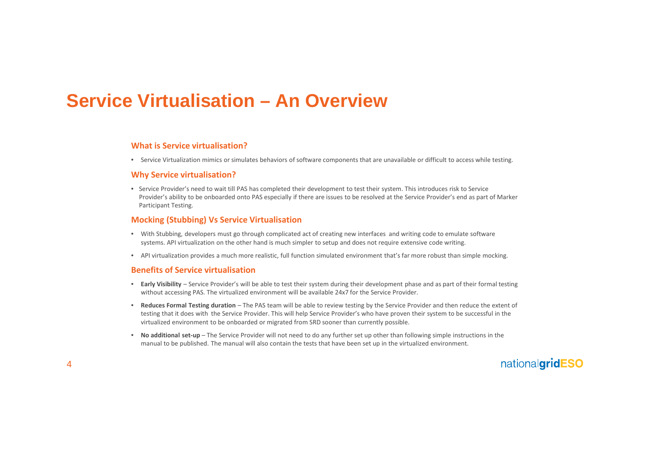## **Service Virtualisation – An Overview**

### **What is Service virtualisation?**

• Service Virtualization mimics or simulates behaviors of software components that are unavailable or difficult to access while testing.

#### **Why Service virtualisation?**

• Service Provider's need to wait till PAS has completed their development to test their system. This introduces risk to Service Provider's ability to be onboarded onto PAS especially if there are issues to be resolved at the Service Provider's end as part of Marker Participant Testing.

#### **Mocking (Stubbing) Vs Service Virtualisation**

- With Stubbing, developers must go through complicated act of creating new interfaces and writing code to emulate software systems. API virtualization on the other hand is much simpler to setup and does not require extensive code writing.
- API virtualization provides a much more realistic, full function simulated environment that's far more robust than simple mocking.

#### **Benefits of Service virtualisation**

- **Early Visibility** Service Provider's will be able to test their system during their development phase and as part of their formal testing without accessing PAS. The virtualized environment will be available 24x7 for the Service Provider.
- **Reduces Formal Testing duration** The PAS team will be able to review testing by the Service Provider and then reduce the extent of testing that it does with the Service Provider. This will help Service Provider's who have proven their system to be successful in the virtualized environment to be onboarded or migrated from SRD sooner than currently possible.
- **No additional set-up** The Service Provider will not need to do any further set up other than following simple instructions in the manual to be published. The manual will also contain the tests that have been set up in the virtualized environment.

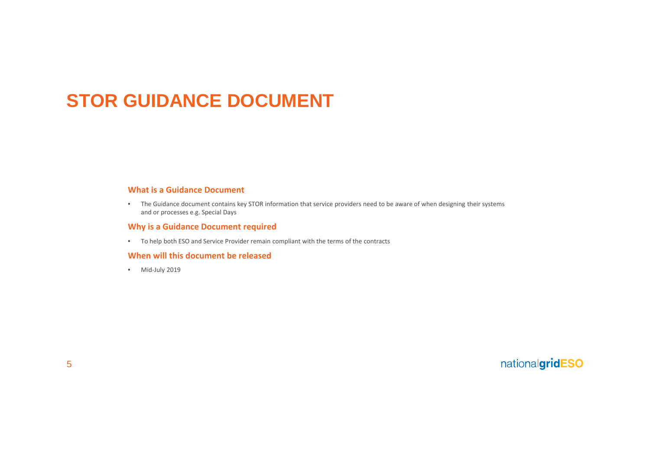## **STOR GUIDANCE DOCUMENT**

### **What is a Guidance Document**

• The Guidance document contains key STOR information that service providers need to be aware of when designing their systems and or processes e.g. Special Days

### **Why is a Guidance Document required**

• To help both ESO and Service Provider remain compliant with the terms of the contracts

### **When will this document be released**

• Mid-July 2019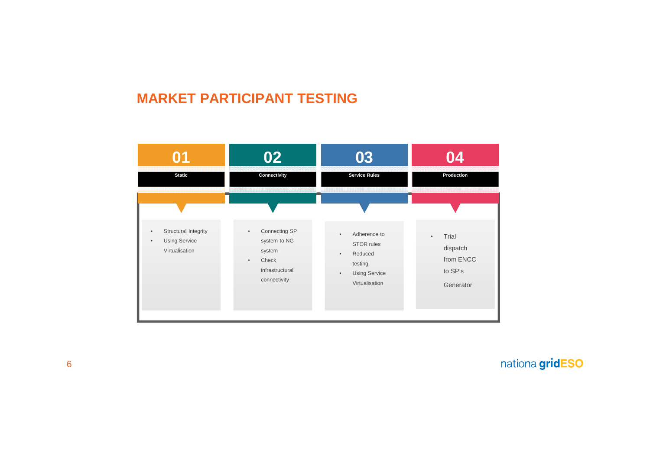### **MARKET PARTICIPANT TESTING**